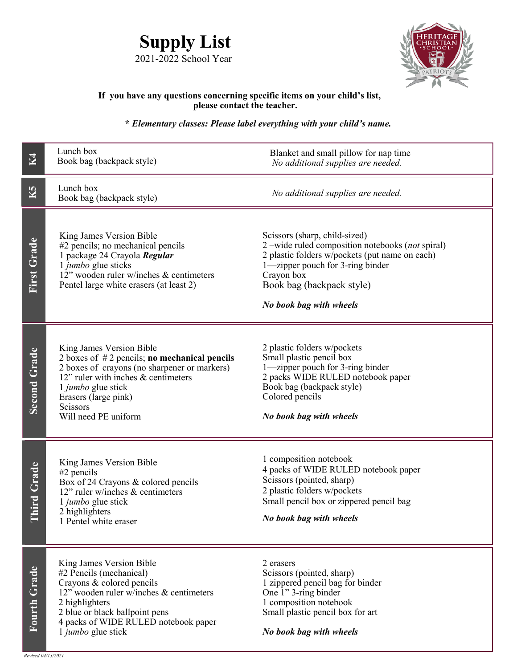



## **If you have any questions concerning specific items on your child's list, please contact the teacher.**

## **\*** *Elementary classes: Please label everything with your child's name.*

| <b>K4</b>           | Lunch box<br>Book bag (backpack style)                                                                                                                                                                                                              | Blanket and small pillow for nap time<br>No additional supplies are needed.                                                                                                                                                                  |  |
|---------------------|-----------------------------------------------------------------------------------------------------------------------------------------------------------------------------------------------------------------------------------------------------|----------------------------------------------------------------------------------------------------------------------------------------------------------------------------------------------------------------------------------------------|--|
| K5                  | Lunch box<br>Book bag (backpack style)                                                                                                                                                                                                              | No additional supplies are needed.                                                                                                                                                                                                           |  |
| First Grade         | King James Version Bible<br>#2 pencils; no mechanical pencils<br>1 package 24 Crayola Regular<br>1 jumbo glue sticks<br>12" wooden ruler w/inches & centimeters<br>Pentel large white erasers (at least 2)                                          | Scissors (sharp, child-sized)<br>2-wide ruled composition notebooks (not spiral)<br>2 plastic folders w/pockets (put name on each)<br>1-zipper pouch for 3-ring binder<br>Crayon box<br>Book bag (backpack style)<br>No book bag with wheels |  |
| <b>Second Grade</b> | King James Version Bible<br>2 boxes of $#2$ pencils; no mechanical pencils<br>2 boxes of crayons (no sharpener or markers)<br>12" ruler with inches & centimeters<br>1 jumbo glue stick<br>Erasers (large pink)<br>Scissors<br>Will need PE uniform | 2 plastic folders w/pockets<br>Small plastic pencil box<br>1-zipper pouch for 3-ring binder<br>2 packs WIDE RULED notebook paper<br>Book bag (backpack style)<br>Colored pencils<br>No book bag with wheels                                  |  |
| hird Grade          | King James Version Bible<br>#2 pencils<br>Box of 24 Crayons & colored pencils<br>12" ruler w/inches & centimeters<br>1 jumbo glue stick<br>2 highlighters<br>1 Pentel white eraser                                                                  | 1 composition notebook<br>4 packs of WIDE RULED notebook paper<br>Scissors (pointed, sharp)<br>2 plastic folders w/pockets<br>Small pencil box or zippered pencil bag<br>No book bag with wheels                                             |  |
| Fourth Grade        | King James Version Bible<br>#2 Pencils (mechanical)<br>Crayons & colored pencils<br>12" wooden ruler w/inches & centimeters<br>2 highlighters<br>2 blue or black ballpoint pens<br>4 packs of WIDE RULED notebook paper<br>1 jumbo glue stick       | 2 erasers<br>Scissors (pointed, sharp)<br>1 zippered pencil bag for binder<br>One 1" 3-ring binder<br>1 composition notebook<br>Small plastic pencil box for art<br>No book bag with wheels                                                  |  |